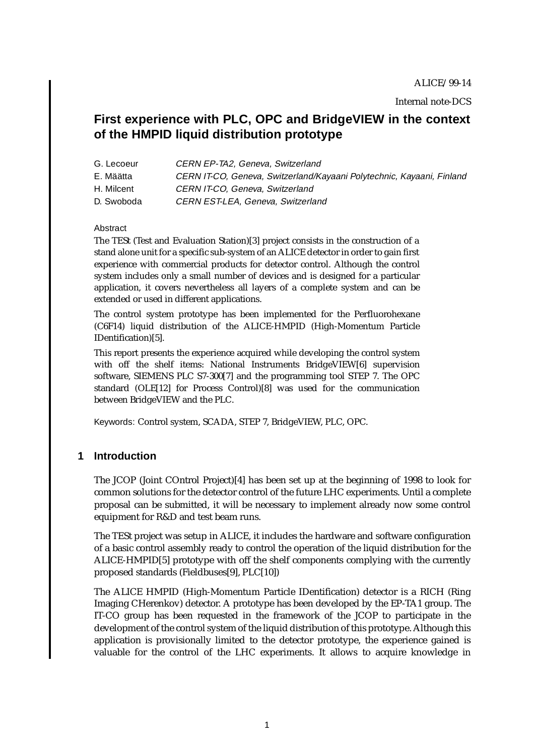# **First experience with PLC, OPC and BridgeVIEW in the context of the HMPID liquid distribution prototype**

- G. Lecoeur CERN EP-TA2, Geneva, Switzerland
- E. Määtta CERN IT-CO, Geneva, Switzerland/Kayaani Polytechnic, Kayaani, Finland
- H. Milcent CERN IT-CO, Geneva, Switzerland
- D. Swoboda CERN EST-LEA, Geneva, Switzerland

#### Abstract

The TESt (Test and Evaluation Station)[3] project consists in the construction of a stand alone unit for a specific sub-system of an ALICE detector in order to gain first experience with commercial products for detector control. Although the control system includes only a small number of devices and is designed for a particular application, it covers nevertheless all layers of a complete system and can be extended or used in different applications.

The control system prototype has been implemented for the Perfluorohexane (C6F14) liquid distribution of the ALICE-HMPID (High-Momentum Particle IDentification)[5].

This report presents the experience acquired while developing the control system with off the shelf items: National Instruments BridgeVIEW[6] supervision software, SIEMENS PLC S7-300[7] and the programming tool STEP 7. The OPC standard (OLE[12] for Process Control)[8] was used for the communication between BridgeVIEW and the PLC.

Keywords: Control system, SCADA, STEP 7, BridgeVIEW, PLC, OPC.

## **1 Introduction**

The JCOP (Joint COntrol Project)[4] has been set up at the beginning of 1998 to look for common solutions for the detector control of the future LHC experiments. Until a complete proposal can be submitted, it will be necessary to implement already now some control equipment for R&D and test beam runs.

The TESt project was setup in ALICE, it includes the hardware and software configuration of a basic control assembly ready to control the operation of the liquid distribution for the ALICE-HMPID[5] prototype with off the shelf components complying with the currently proposed standards (Fieldbuses[9], PLC[10])

The ALICE HMPID (High-Momentum Particle IDentification) detector is a RICH (Ring Imaging CHerenkov) detector. A prototype has been developed by the EP-TA1 group. The IT-CO group has been requested in the framework of the JCOP to participate in the development of the control system of the liquid distribution of this prototype. Although this application is provisionally limited to the detector prototype, the experience gained is valuable for the control of the LHC experiments. It allows to acquire knowledge in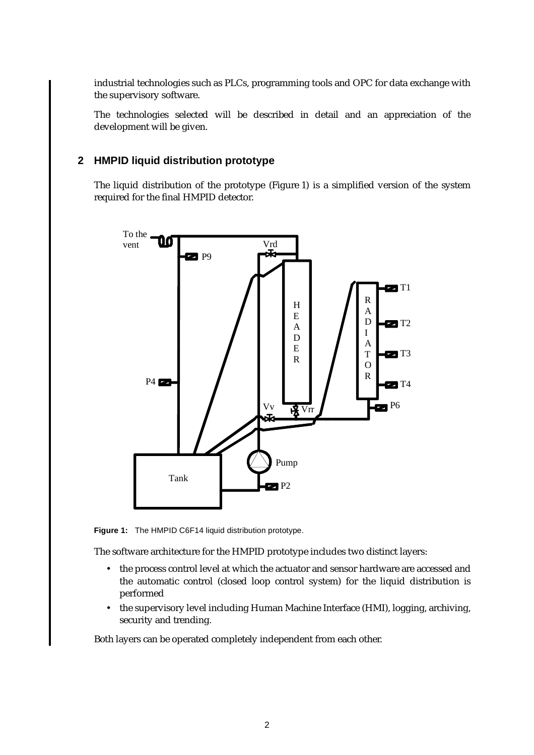industrial technologies such as PLCs, programming tools and OPC for data exchange with the supervisory software.

The technologies selected will be described in detail and an appreciation of the development will be given.

# **2 HMPID liquid distribution prototype**

The liquid distribution of the prototype (Figure 1) is a simplified version of the system required for the final HMPID detector.



**Figure 1:** The HMPID C6F14 liquid distribution prototype.

The software architecture for the HMPID prototype includes two distinct layers:

- the process control level at which the actuator and sensor hardware are accessed and the automatic control (closed loop control system) for the liquid distribution is performed
- the supervisory level including Human Machine Interface (HMI), logging, archiving, security and trending.

Both layers can be operated completely independent from each other.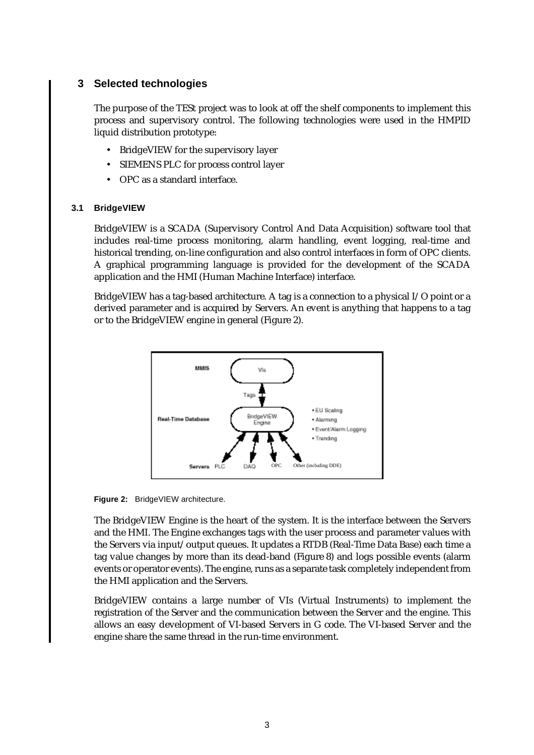# **3 Selected technologies**

The purpose of the TESt project was to look at off the shelf components to implement this process and supervisory control. The following technologies were used in the HMPID liquid distribution prototype:

- BridgeVIEW for the supervisory layer
- SIEMENS PLC for process control layer
- OPC as a standard interface.

#### **3.1 BridgeVIEW**

BridgeVIEW is a SCADA (Supervisory Control And Data Acquisition) software tool that includes real-time process monitoring, alarm handling, event logging, real-time and historical trending, on-line configuration and also control interfaces in form of OPC clients. A graphical programming language is provided for the development of the SCADA application and the HMI (Human Machine Interface) interface.

BridgeVIEW has a tag-based architecture. A tag is a connection to a physical I/O point or a derived parameter and is acquired by Servers. An event is anything that happens to a tag or to the BridgeVIEW engine in general (Figure 2).



**Figure 2:** BridgeVIEW architecture.

The BridgeVIEW Engine is the heart of the system. It is the interface between the Servers and the HMI. The Engine exchanges tags with the user process and parameter values with the Servers via input/output queues. It updates a RTDB (Real-Time Data Base) each time a tag value changes by more than its dead-band (Figure 8) and logs possible events (alarm events or operator events). The engine, runs as a separate task completely independent from the HMI application and the Servers.

BridgeVIEW contains a large number of VIs (Virtual Instruments) to implement the registration of the Server and the communication between the Server and the engine. This allows an easy development of VI-based Servers in G code. The VI-based Server and the engine share the same thread in the run-time environment.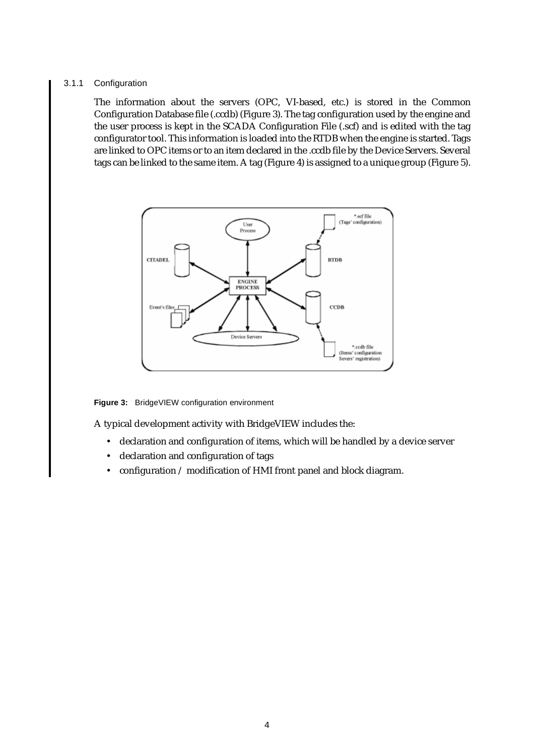#### 3.1.1 Configuration

The information about the servers (OPC, VI-based, etc.) is stored in the Common Configuration Database file (.ccdb) (Figure 3). The tag configuration used by the engine and the user process is kept in the SCADA Configuration File (.scf) and is edited with the tag configurator tool. This information is loaded into the RTDB when the engine is started. Tags are linked to OPC items or to an item declared in the .ccdb file by the Device Servers. Several tags can be linked to the same item. A tag (Figure 4) is assigned to a unique group (Figure 5).



**Figure 3:** BridgeVIEW configuration environment

A typical development activity with BridgeVIEW includes the:

- declaration and configuration of items, which will be handled by a device server
- declaration and configuration of tags
- configuration / modification of HMI front panel and block diagram.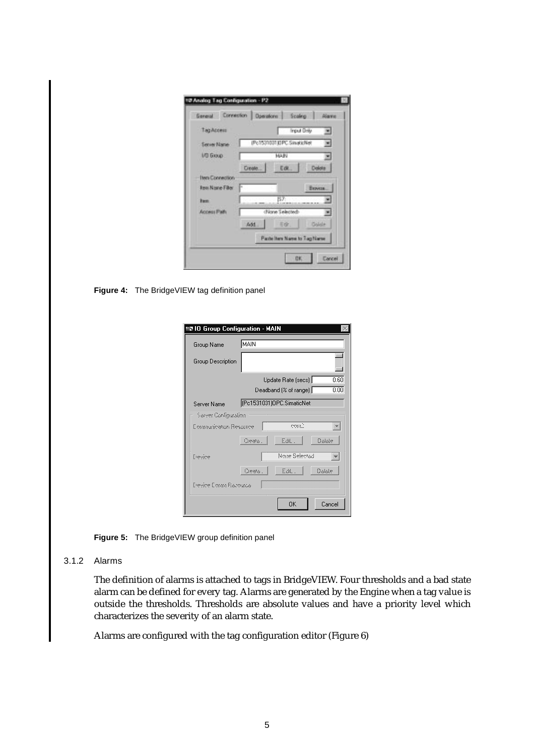| Тад Ассена              | <b>Input Drily</b><br>۰        |
|-------------------------|--------------------------------|
| <b>Server Name</b>      | (Po1531031)DPC.SinatioNet<br>۰ |
| <b>I/D GIOUD</b>        | MAIN                           |
|                         | Delete<br>Dreate.<br>Edit.     |
| <b>Hera Connection</b>  |                                |
| <b>Rest Name Filter</b> | <b>E</b> KNVESK                |
| <b>Bacon</b>            | 157:                           |
| Access Path             | (None Selected)                |
|                         | Colde<br>百夜!<br>Add.           |
|                         | Paste here Name to Tag Name    |

**Figure 4:** The BridgeVIEW tag definition panel

| 로 IO Group Configuration - MAIN |          |                           |        |
|---------------------------------|----------|---------------------------|--------|
| Group Name                      | IMAIN    |                           |        |
| Group Description               |          |                           |        |
|                                 |          | Update Rate [secs]        | 0.60   |
|                                 |          | Deadband [% of range]     | 0.00   |
| Server Name                     |          | (Pc1531031)OPC.SimaticNet |        |
| Server Configuration            |          |                           |        |
| Communication Resource          |          |                           |        |
|                                 | Oesto. I | Edt.                      | Octobe |
| Españolo                        |          | Noise Selected            |        |
|                                 | Cleate   | Edit.                     | Ociolo |
| Elevine Comm Razourca           |          |                           |        |
|                                 |          | <b>OK</b>                 | Cancel |

**Figure 5:** The BridgeVIEW group definition panel

#### 3.1.2 Alarms

The definition of alarms is attached to tags in BridgeVIEW. Four thresholds and a bad state alarm can be defined for every tag. Alarms are generated by the Engine when a tag value is outside the thresholds. Thresholds are absolute values and have a priority level which characterizes the severity of an alarm state.

Alarms are configured with the tag configuration editor (Figure 6)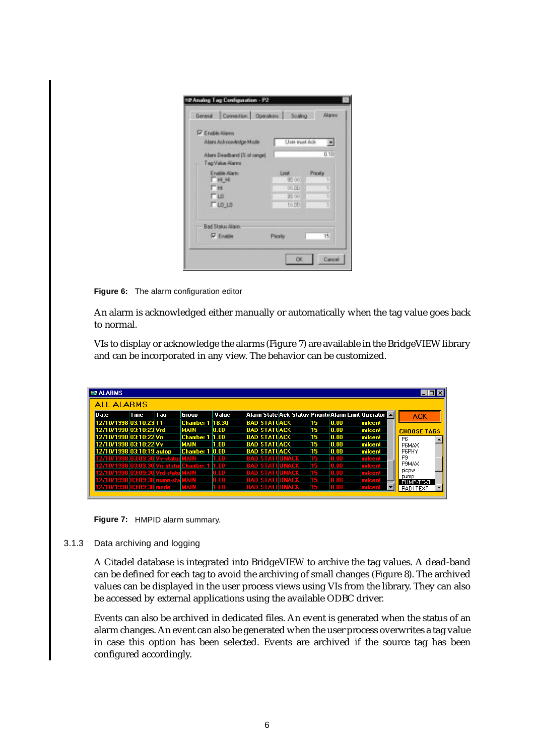| <b>P</b> Enable Allanni                         |                |                |
|-------------------------------------------------|----------------|----------------|
| Alam Acknowledge Mode                           | User must Ack  | 园              |
| Alars Deadband (% of range)<br>Tag Value Alerno |                | 0.10           |
| Englis Alam                                     | Link           | <b>Pricety</b> |
| Гни<br>гн                                       | 90.00<br>30.00 |                |
| T10                                             | 20 00          |                |
| $\Gamma$ LO LO                                  | $-10.00$       |                |
| Bad Status Alann                                |                |                |
| <b>V</b> Enable                                 | <b>Psorts</b>  | 15             |

**Figure 6:** The alarm configuration editor

An alarm is acknowledged either manually or automatically when the tag value goes back to normal.

VIs to display or acknowledge the alarms (Figure 7) are available in the BridgeVIEW library and can be incorporated in any view. The behavior can be customized.

| <b>EN ALARMS</b>          |     |                        |       |                                                               |    |      |               |                    |
|---------------------------|-----|------------------------|-------|---------------------------------------------------------------|----|------|---------------|--------------------|
| <b>ALL ALARMS</b>         |     |                        |       |                                                               |    |      |               |                    |
| <b>Time</b><br>Date       | Tag | Group                  | Value | Alarm State Ack Status Priority Alarm Limit Operator <b>E</b> |    |      |               | <b>ACK</b>         |
| 12/10/1998 03:10:23 T1    |     | <b>Chamber 1 18.30</b> |       | <b>BAD STATUACK</b>                                           | 15 | 0.00 | milcent       |                    |
| 12/10/1998 03:10:23 Vrd   |     | MAIN                   | 0.00  | <b>BAD STATUACK</b>                                           | 15 | 0.00 | milcent       | <b>CHOOSE TAGS</b> |
| 12/10/1998 03:10:22 Vrr   |     | <b>Chamber 1</b>       | 1.00  | <b>BAD STATUACK</b>                                           | 15 | 0.00 | milcent       | P <sub>6</sub>     |
| 12/10/1998 03:10:22 Vv    |     | MAIN                   | 1.00  | <b>BAD STATUACK</b>                                           | 15 | 0.00 | Imilcent      | <b>P6MAX</b>       |
| 12/10/1998 03:10:19 autop |     | <b>Chamber 1</b>       | 0.00  | <b>BAD STATUACK</b>                                           | 15 | 0.00 | milcent       | P6PHY              |
| 41 S.T<br>EDA: 3          |     |                        | m     | LINACI<br>BAD ST                                              | 15 | Ш    | diagr.        | P <sub>9</sub>     |
| инг                       |     |                        | m     | П                                                             | T. |      |               | P9MAX              |
| a na                      |     |                        | l M   | п.<br>151                                                     | 15 | m    | <b>Signal</b> | plcpw              |
| 1/199                     |     |                        | m     | INACI<br>m                                                    | 15 | m    |               | pump<br>PUMP-TEXT  |
| 71 O 71 991               |     |                        |       | I STATI                                                       |    |      |               | <b>RADI-TEXT</b>   |

**Figure 7:** HMPID alarm summary.

#### 3.1.3 Data archiving and logging

A Citadel database is integrated into BridgeVIEW to archive the tag values. A dead-band can be defined for each tag to avoid the archiving of small changes (Figure 8). The archived values can be displayed in the user process views using VIs from the library. They can also be accessed by external applications using the available ODBC driver.

Events can also be archived in dedicated files. An event is generated when the status of an alarm changes. An event can also be generated when the user process overwrites a tag value in case this option has been selected. Events are archived if the source tag has been configured accordingly.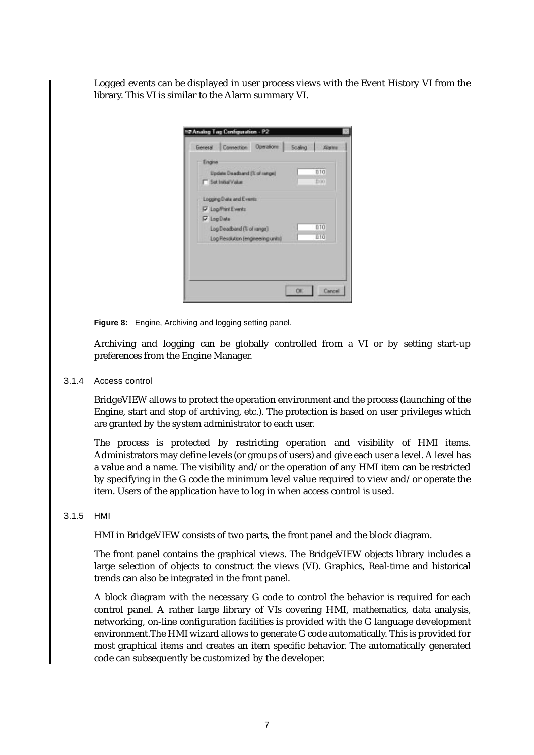Logged events can be displayed in user process views with the Event History VI from the library. This VI is similar to the Alarm summary VI.

| Engine<br>Update Deadband (% of range) | 0.10 |
|----------------------------------------|------|
| <b>F</b> Set Initial Value             | 1100 |
| Logging Data and Events                |      |
| <b>V</b> Log-Part Events               |      |
| <b>V</b> LogData                       |      |
| Log Deadband (% of range)              | 0.10 |
| Log Resolution (engineering units)     | 010  |
|                                        |      |

**Figure 8:** Engine, Archiving and logging setting panel.

Archiving and logging can be globally controlled from a VI or by setting start-up preferences from the Engine Manager.

3.1.4 Access control

BridgeVIEW allows to protect the operation environment and the process (launching of the Engine, start and stop of archiving, etc.). The protection is based on user privileges which are granted by the system administrator to each user.

The process is protected by restricting operation and visibility of HMI items. Administrators may define levels (or groups of users) and give each user a level. A level has a value and a name. The visibility and/or the operation of any HMI item can be restricted by specifying in the G code the minimum level value required to view and/or operate the item. Users of the application have to log in when access control is used.

#### 3.1.5 HMI

HMI in BridgeVIEW consists of two parts, the front panel and the block diagram.

The front panel contains the graphical views. The BridgeVIEW objects library includes a large selection of objects to construct the views (VI). Graphics, Real-time and historical trends can also be integrated in the front panel.

A block diagram with the necessary G code to control the behavior is required for each control panel. A rather large library of VIs covering HMI, mathematics, data analysis, networking, on-line configuration facilities is provided with the G language development environment.The HMI wizard allows to generate G code automatically. This is provided for most graphical items and creates an item specific behavior. The automatically generated code can subsequently be customized by the developer.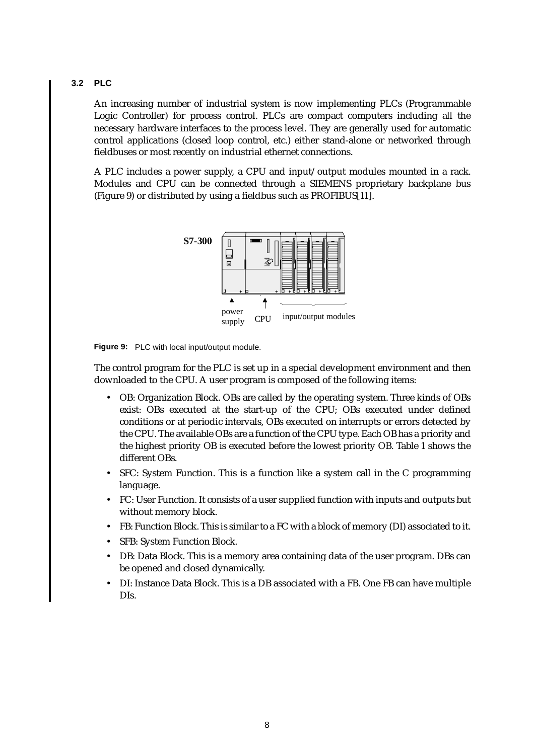### **3.2 PLC**

An increasing number of industrial system is now implementing PLCs (Programmable Logic Controller) for process control. PLCs are compact computers including all the necessary hardware interfaces to the process level. They are generally used for automatic control applications (closed loop control, etc.) either stand-alone or networked through fieldbuses or most recently on industrial ethernet connections.

A PLC includes a power supply, a CPU and input/output modules mounted in a rack. Modules and CPU can be connected through a SIEMENS proprietary backplane bus (Figure 9) or distributed by using a fieldbus such as PROFIBUS[11].



**Figure 9:** PLC with local input/output module.

The control program for the PLC is set up in a special development environment and then downloaded to the CPU. A user program is composed of the following items:

- OB: Organization Block. OBs are called by the operating system. Three kinds of OBs exist: OBs executed at the start-up of the CPU; OBs executed under defined conditions or at periodic intervals, OBs executed on interrupts or errors detected by the CPU. The available OBs are a function of the CPU type. Each OB has a priority and the highest priority OB is executed before the lowest priority OB. Table 1 shows the different OBs.
- SFC: System Function. This is a function like a system call in the C programming language.
- FC: User Function. It consists of a user supplied function with inputs and outputs but without memory block.
- FB: Function Block. This is similar to a FC with a block of memory (DI) associated to it.
- SFB: System Function Block.
- DB: Data Block. This is a memory area containing data of the user program. DBs can be opened and closed dynamically.
- DI: Instance Data Block. This is a DB associated with a FB. One FB can have multiple DIs.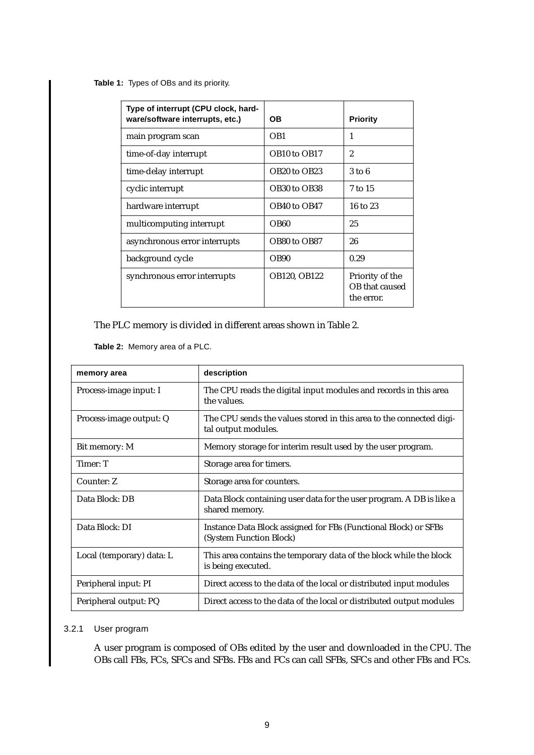**Table 1:** Types of OBs and its priority.

| Type of interrupt (CPU clock, hard-<br>ware/software interrupts, etc.) | <b>OB</b>                            | <b>Priority</b>                                 |
|------------------------------------------------------------------------|--------------------------------------|-------------------------------------------------|
| main program scan                                                      | OB <sub>1</sub>                      | 1                                               |
| time-of-day interrupt                                                  | OB <sub>10</sub> to OB <sub>17</sub> | $\overline{2}$                                  |
| time-delay interrupt                                                   | OB <sub>20</sub> to OB <sub>23</sub> | $3$ to $6$                                      |
| cyclic interrupt                                                       | OB30 to OB38                         | 7 to 15                                         |
| hardware interrupt                                                     | OB40 to OB47                         | $16$ to $23$                                    |
| multicomputing interrupt                                               | OB <sub>60</sub>                     | 25                                              |
| asynchronous error interrupts                                          | OB80 to OB87                         | 26                                              |
| background cycle                                                       | OB <sub>90</sub>                     | 0.29                                            |
| synchronous error interrupts                                           | <b>OB120, OB122</b>                  | Priority of the<br>OB that caused<br>the error. |

The PLC memory is divided in different areas shown in Table 2.

**Table 2:** Memory area of a PLC.

| memory area               | description                                                                                |
|---------------------------|--------------------------------------------------------------------------------------------|
| Process-image input: I    | The CPU reads the digital input modules and records in this area<br>the values.            |
| Process-image output: Q   | The CPU sends the values stored in this area to the connected digi-<br>tal output modules. |
| Bit memory: M             | Memory storage for interim result used by the user program.                                |
| Timer: T                  | Storage area for timers.                                                                   |
| Counter: Z                | Storage area for counters.                                                                 |
| Data Block: DB            | Data Block containing user data for the user program. A DB is like a<br>shared memory.     |
| Data Block: DI            | Instance Data Block assigned for FBs (Functional Block) or SFBs<br>(System Function Block) |
| Local (temporary) data: L | This area contains the temporary data of the block while the block<br>is being executed.   |
| Peripheral input: PI      | Direct access to the data of the local or distributed input modules                        |
| Peripheral output: PQ     | Direct access to the data of the local or distributed output modules                       |

### 3.2.1 User program

A user program is composed of OBs edited by the user and downloaded in the CPU. The OBs call FBs, FCs, SFCs and SFBs. FBs and FCs can call SFBs, SFCs and other FBs and FCs.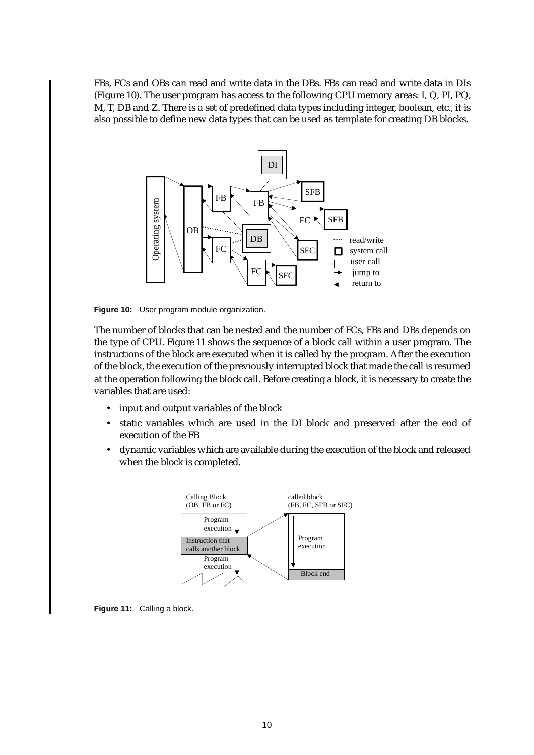FBs, FCs and OBs can read and write data in the DBs. FBs can read and write data in DIs (Figure 10). The user program has access to the following CPU memory areas: I, Q, PI, PQ, M, T, DB and Z. There is a set of predefined data types including integer, boolean, etc., it is also possible to define new data types that can be used as template for creating DB blocks.



**Figure 10:** User program module organization.

The number of blocks that can be nested and the number of FCs, FBs and DBs depends on the type of CPU. Figure 11 shows the sequence of a block call within a user program. The instructions of the block are executed when it is called by the program. After the execution of the block, the execution of the previously interrupted block that made the call is resumed at the operation following the block call. Before creating a block, it is necessary to create the variables that are used:

- input and output variables of the block
- static variables which are used in the DI block and preserved after the end of execution of the FB
- dynamic variables which are available during the execution of the block and released when the block is completed.



**Figure 11:** Calling a block.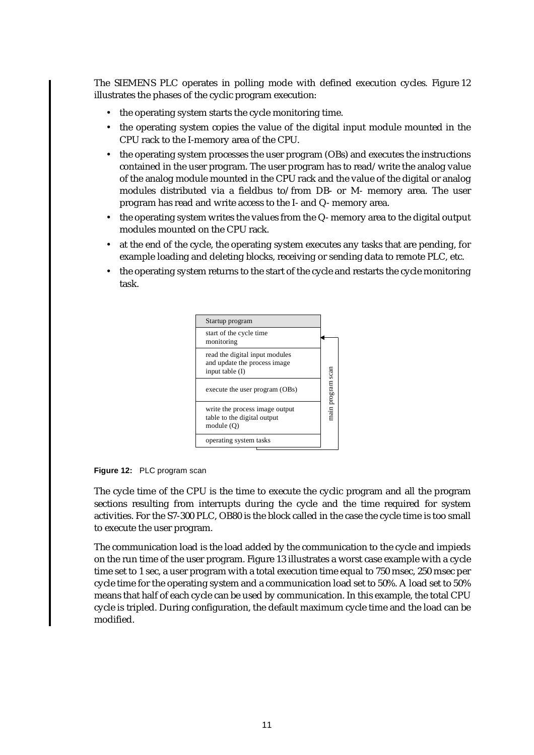The SIEMENS PLC operates in polling mode with defined execution cycles. Figure 12 illustrates the phases of the cyclic program execution:

- the operating system starts the cycle monitoring time.
- the operating system copies the value of the digital input module mounted in the CPU rack to the I-memory area of the CPU.
- the operating system processes the user program (OBs) and executes the instructions contained in the user program. The user program has to read/write the analog value of the analog module mounted in the CPU rack and the value of the digital or analog modules distributed via a fieldbus to/from DB- or M- memory area. The user program has read and write access to the I- and Q- memory area.
- the operating system writes the values from the Q- memory area to the digital output modules mounted on the CPU rack.
- at the end of the cycle, the operating system executes any tasks that are pending, for example loading and deleting blocks, receiving or sending data to remote PLC, etc.
- the operating system returns to the start of the cycle and restarts the cycle monitoring task.



**Figure 12:** PLC program scan

The cycle time of the CPU is the time to execute the cyclic program and all the program sections resulting from interrupts during the cycle and the time required for system activities. For the S7-300 PLC, OB80 is the block called in the case the cycle time is too small to execute the user program.

The communication load is the load added by the communication to the cycle and impieds on the run time of the user program. Figure 13 illustrates a worst case example with a cycle time set to 1 sec, a user program with a total execution time equal to 750 msec, 250 msec per cycle time for the operating system and a communication load set to 50%. A load set to 50% means that half of each cycle can be used by communication. In this example, the total CPU cycle is tripled. During configuration, the default maximum cycle time and the load can be modified.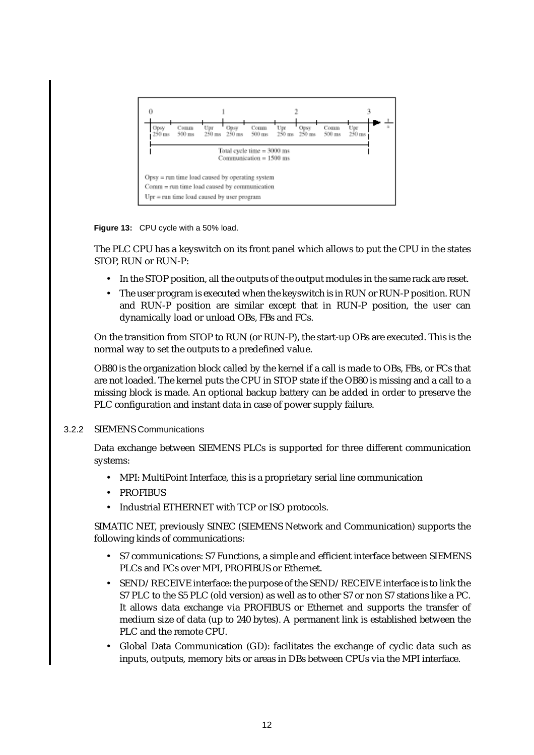

**Figure 13:** CPU cycle with a 50% load.

The PLC CPU has a keyswitch on its front panel which allows to put the CPU in the states STOP, RUN or RUN-P:

- In the STOP position, all the outputs of the output modules in the same rack are reset.
- The user program is executed when the keyswitch is in RUN or RUN-P position. RUN and RUN-P position are similar except that in RUN-P position, the user can dynamically load or unload OBs, FBs and FCs.

On the transition from STOP to RUN (or RUN-P), the start-up OBs are executed. This is the normal way to set the outputs to a predefined value.

OB80 is the organization block called by the kernel if a call is made to OBs, FBs, or FCs that are not loaded. The kernel puts the CPU in STOP state if the OB80 is missing and a call to a missing block is made. An optional backup battery can be added in order to preserve the PLC configuration and instant data in case of power supply failure.

## 3.2.2 SIEMENS Communications

Data exchange between SIEMENS PLCs is supported for three different communication systems:

- MPI: MultiPoint Interface, this is a proprietary serial line communication
- PROFIBUS
- Industrial ETHERNET with TCP or ISO protocols.

SIMATIC NET, previously SINEC (SIEMENS Network and Communication) supports the following kinds of communications:

- S7 communications: S7 Functions, a simple and efficient interface between SIEMENS PLCs and PCs over MPI, PROFIBUS or Ethernet.
- SEND/RECEIVE interface: the purpose of the SEND/RECEIVE interface is to link the S7 PLC to the S5 PLC (old version) as well as to other S7 or non S7 stations like a PC. It allows data exchange via PROFIBUS or Ethernet and supports the transfer of medium size of data (up to 240 bytes). A permanent link is established between the PLC and the remote CPU.
- Global Data Communication (GD): facilitates the exchange of cyclic data such as inputs, outputs, memory bits or areas in DBs between CPUs via the MPI interface.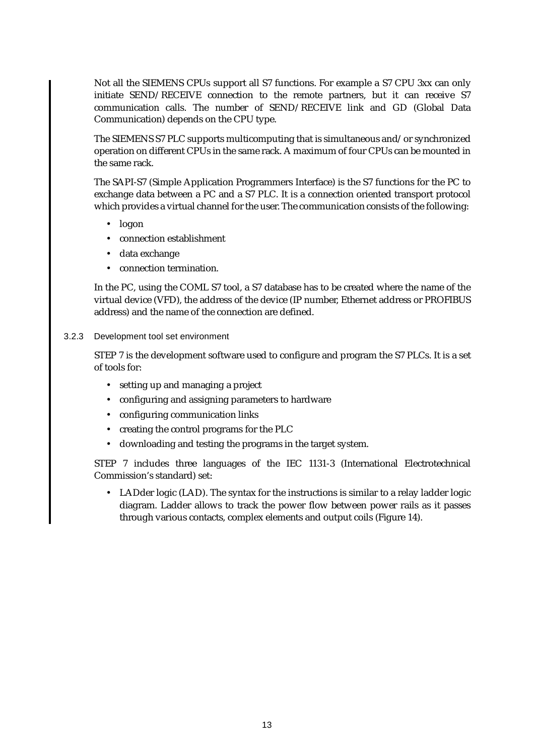Not all the SIEMENS CPUs support all S7 functions. For example a S7 CPU 3xx can only initiate SEND/RECEIVE connection to the remote partners, but it can receive S7 communication calls. The number of SEND/RECEIVE link and GD (Global Data Communication) depends on the CPU type.

The SIEMENS S7 PLC supports multicomputing that is simultaneous and/or synchronized operation on different CPUs in the same rack. A maximum of four CPUs can be mounted in the same rack.

The SAPI-S7 (Simple Application Programmers Interface) is the S7 functions for the PC to exchange data between a PC and a S7 PLC. It is a connection oriented transport protocol which provides a virtual channel for the user. The communication consists of the following:

- logon
- connection establishment
- data exchange
- connection termination.

In the PC, using the COML S7 tool, a S7 database has to be created where the name of the virtual device (VFD), the address of the device (IP number, Ethernet address or PROFIBUS address) and the name of the connection are defined.

#### 3.2.3 Development tool set environment

STEP 7 is the development software used to configure and program the S7 PLCs. It is a set of tools for:

- setting up and managing a project
- configuring and assigning parameters to hardware
- configuring communication links
- creating the control programs for the PLC
- downloading and testing the programs in the target system.

STEP 7 includes three languages of the IEC 1131-3 (International Electrotechnical Commission's standard) set:

• LADder logic (LAD). The syntax for the instructions is similar to a relay ladder logic diagram. Ladder allows to track the power flow between power rails as it passes through various contacts, complex elements and output coils (Figure 14).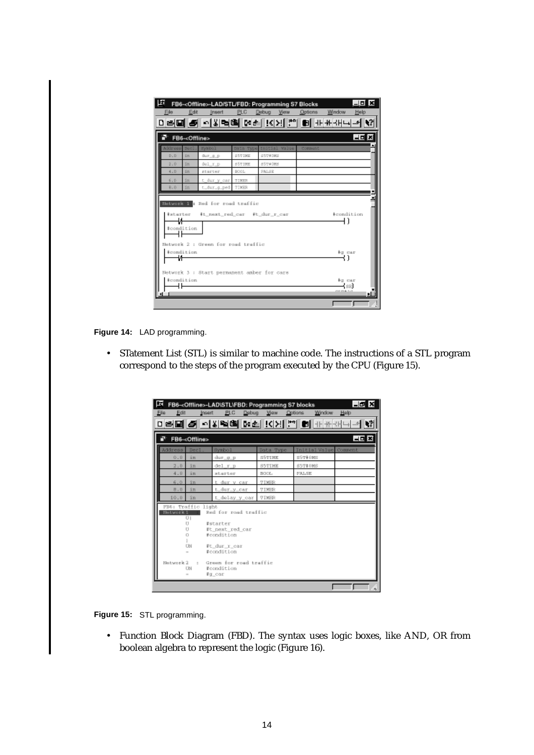| File                                                     | Edit                     | Insert                             | PLC             | FB6- <offline>-LAD/STL/FBD: Programming S7 Blocks<br/>Debug<br/>View.</offline> | <b>Options</b> | Window     | _  <b>□  ×</b><br>Help |
|----------------------------------------------------------|--------------------------|------------------------------------|-----------------|---------------------------------------------------------------------------------|----------------|------------|------------------------|
|                                                          |                          |                                    |                 | <b>미리의 최 희왕력의 연합 [KIX] 을 이 표조하다며</b>                                            |                |            |                        |
|                                                          | FB6- <offline></offline> |                                    |                 |                                                                                 |                |            | 4마지                    |
| <b>ddrago</b><br>$D = D$                                 | paci<br>4n               | Symbol.                            | Bata.<br>SSTIME | Initial Value<br>\$574069                                                       | Comment        |            |                        |
| 2.0                                                      | <b>in</b>                | dur_g_p<br>del_r_p                 | <b>BETIME</b>   | 85T40MS                                                                         |                |            |                        |
| $4 - D$                                                  | 4n                       | starter                            | <b>BOOL</b>     | PALSE                                                                           |                |            |                        |
| 6. D                                                     | 1H                       | t dar y car TIMER                  |                 |                                                                                 |                |            |                        |
| $B - 0$                                                  | in.                      | t_dar_g_ped                        | <b>TIMER</b>    |                                                                                 |                |            |                        |
|                                                          |                          | Natural 1 : Rad for road traffic   |                 |                                                                                 |                |            |                        |
| <i>i</i> starter                                         |                          | #t_next_red_car #t_dur_r_car       |                 |                                                                                 |                | kcondition |                        |
| и<br>#condition                                          |                          |                                    |                 |                                                                                 |                |            |                        |
|                                                          |                          |                                    |                 |                                                                                 |                |            |                        |
|                                                          |                          | Network 2 : Green for road traffic |                 |                                                                                 |                |            |                        |
| teondition<br>₩                                          |                          |                                    | to car          |                                                                                 |                |            |                        |
|                                                          |                          |                                    |                 |                                                                                 |                |            |                        |
| Network 3 : Start permanent amber for cars<br>teondition | to car                   |                                    |                 |                                                                                 |                |            |                        |
|                                                          |                          |                                    |                 |                                                                                 |                | 588        |                        |
|                                                          |                          |                                    |                 |                                                                                 |                | 020430     |                        |
|                                                          |                          |                                    |                 |                                                                                 |                |            |                        |

**Figure 14:** LAD programming.

• STatement List (STL) is similar to machine code. The instructions of a STL program correspond to the steps of the program executed by the CPU (Figure 15).

| 囨                         |                                                                        | FB6- <offline>-LAD\STL\FBD: Programming S7 blocks</offline>                  |                            |                  |                                  | -6 × |
|---------------------------|------------------------------------------------------------------------|------------------------------------------------------------------------------|----------------------------|------------------|----------------------------------|------|
| Edit<br>Ele               | Insert                                                                 | PLC                                                                          | View<br>Debug              | Options          | Window                           | Help |
|                           |                                                                        | □역圖 <i>즉</i> -이시엄에 K소 K(X) [*] ■ +H+KH+                                      |                            |                  |                                  |      |
| h                         | FB6- <offline></offline>                                               |                                                                              |                            |                  |                                  | 49 X |
| <b>Address</b><br>$0 - 0$ | Dec1<br>$\pm n$                                                        | Symbo1<br>dur_g_p                                                            | <b>Bata Type</b><br>S5TIME |                  | Initial Value Comment<br>SST#0MS |      |
| 2.0<br>$4 - 0$            | in<br>in                                                               | $del_T_p$<br>starter                                                         | S5TIME<br>BODL.            | 857#0MS<br>FALSE |                                  |      |
| $6.0 -$<br>图.目            | in<br>1n                                                               | t dur y car<br>t_dur_y_car                                                   | TIMER<br>TIMER             |                  |                                  |      |
| 10.0                      | in.                                                                    | t delay y car                                                                | <b>TIMER</b>               |                  |                                  |      |
| Network 1                 | FB6: Traffic light<br>$\cup$<br>$\Box$<br>П<br>o                       | Red for road traffic<br>Estarter<br>#t next red car<br>#condition            |                            |                  |                                  |      |
| Network 2                 | <b>UN</b><br>$\sim$<br>$\overline{\phantom{a}}$<br><b>DN</b><br>$\sim$ | Ft dur r car<br>#condition<br>Green for road traffic<br>Fcondition<br>Fg car |                            |                  |                                  |      |
|                           |                                                                        |                                                                              |                            |                  |                                  | ×    |



• Function Block Diagram (FBD). The syntax uses logic boxes, like AND, OR from boolean algebra to represent the logic (Figure 16).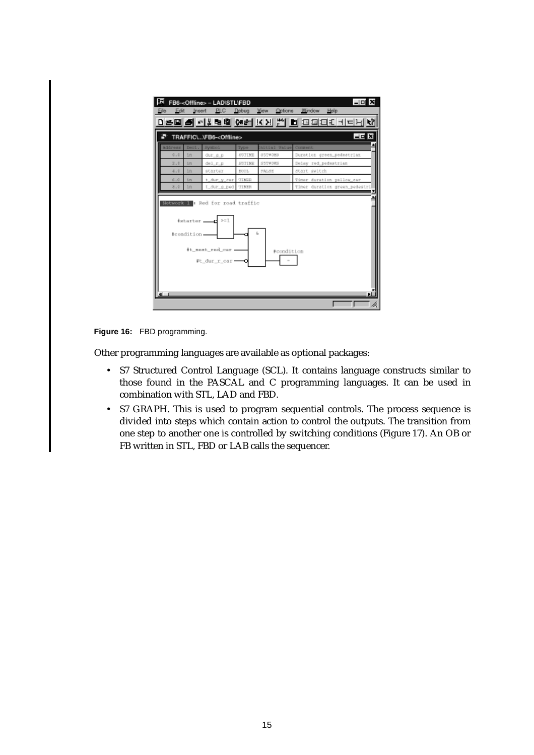| TRAFFIC\\FB6- <offline><br/>Dac1.<br/><b>System1</b><br/>Initial Value<br/>Congress<br/>Type<br/>0.5<br/>šπ<br/>89TIME<br/>857#088<br/>Duration green_pedestrian<br/>dur_a_p<br/>Delay red pedestrian<br/>SST#DMS<br/>2.0<br/>del_r_p<br/><b>SSTIME</b><br/>5m<br/>4.5<br/>in<br/>start switch<br/>starter<br/>BOOL.<br/>FALSE<br/>t_dur_y_car<br/>6.0<br/>šп<br/>TIMER<br/>in<br/>t dur a ped<br/>TIMEN<br/>3.5<br/>Natural I : Red for road traffic<br/><math>&gt; = 1</math><br/>#starter ____<br/>#condition.<br/>#t_next_red_car_</offline> | Timer duration yellow_car<br>timer duration green pedestr:<br>#condition<br>Ft dur r car | Edit    | Insert | FB6- <offline> - LAD\STL\FBD<br/><b>PLC</b></offline> | Debug | View<br>Options | $-10$ $\times$<br>Window<br>Help<br>마을때 된 학생 형태 연합 K XI 법 이 파파파티 사라님 사 |
|--------------------------------------------------------------------------------------------------------------------------------------------------------------------------------------------------------------------------------------------------------------------------------------------------------------------------------------------------------------------------------------------------------------------------------------------------------------------------------------------------------------------------------------------------|------------------------------------------------------------------------------------------|---------|--------|-------------------------------------------------------|-------|-----------------|------------------------------------------------------------------------|
|                                                                                                                                                                                                                                                                                                                                                                                                                                                                                                                                                  |                                                                                          |         |        |                                                       |       |                 | HE X                                                                   |
|                                                                                                                                                                                                                                                                                                                                                                                                                                                                                                                                                  |                                                                                          | Address |        |                                                       |       |                 |                                                                        |
|                                                                                                                                                                                                                                                                                                                                                                                                                                                                                                                                                  |                                                                                          |         |        |                                                       |       |                 |                                                                        |
|                                                                                                                                                                                                                                                                                                                                                                                                                                                                                                                                                  |                                                                                          |         |        |                                                       |       |                 |                                                                        |
|                                                                                                                                                                                                                                                                                                                                                                                                                                                                                                                                                  |                                                                                          |         |        |                                                       |       |                 |                                                                        |
|                                                                                                                                                                                                                                                                                                                                                                                                                                                                                                                                                  |                                                                                          |         |        |                                                       |       |                 |                                                                        |
|                                                                                                                                                                                                                                                                                                                                                                                                                                                                                                                                                  |                                                                                          |         |        |                                                       |       |                 |                                                                        |
|                                                                                                                                                                                                                                                                                                                                                                                                                                                                                                                                                  |                                                                                          |         |        |                                                       |       |                 |                                                                        |
|                                                                                                                                                                                                                                                                                                                                                                                                                                                                                                                                                  |                                                                                          |         |        |                                                       |       |                 |                                                                        |

#### **Figure 16:** FBD programming.

Other programming languages are available as optional packages:

- S7 Structured Control Language (SCL). It contains language constructs similar to those found in the PASCAL and C programming languages. It can be used in combination with STL, LAD and FBD.
- S7 GRAPH. This is used to program sequential controls. The process sequence is divided into steps which contain action to control the outputs. The transition from one step to another one is controlled by switching conditions (Figure 17). An OB or FB written in STL, FBD or LAB calls the sequencer.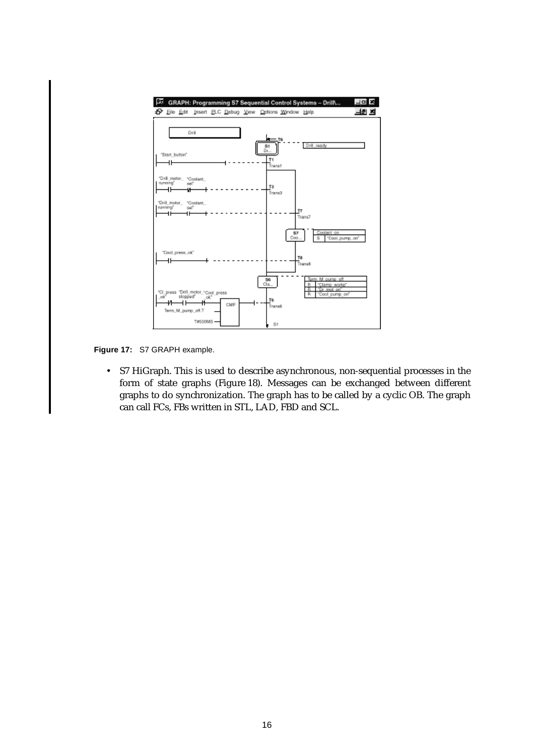

**Figure 17:** S7 GRAPH example.

• S7 HiGraph. This is used to describe asynchronous, non-sequential processes in the form of state graphs (Figure 18). Messages can be exchanged between different graphs to do synchronization. The graph has to be called by a cyclic OB. The graph can call FCs, FBs written in STL, LAD, FBD and SCL.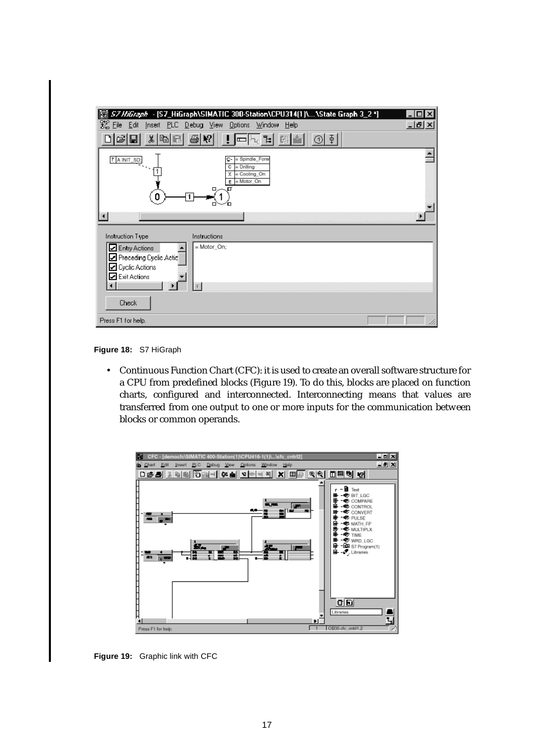| S7 HiGraph - [S7_HiGraph\SIMATIC 300-Station\CPU314(1)\\State Graph 3_2*]<br>K                                                        |            |
|---------------------------------------------------------------------------------------------------------------------------------------|------------|
| 絮 Eile<br>Edit<br>Insert PLC Debug View Options<br>Window<br>Help                                                                     | <u>니레지</u> |
| $\Phi$<br>Ж<br>lb.<br>1                                                                                                               |            |
| = Spindle_Forw<br>7 A INIT_SD;<br>c-<br>= Drilling<br>c<br>= Cooling_On<br>χ<br>= Motor_On<br>E<br>n                                  |            |
| Instruction Type<br>Instructions                                                                                                      |            |
| = Motor_On;<br><b>□</b> Entry Actions<br>Preceding Cyclic Actic<br>$\square$ Cyclic Actions<br>Exit Actions<br>$\left  \cdot \right $ |            |
| Check                                                                                                                                 |            |
| Press F1 for help.                                                                                                                    |            |

**Figure 18:** S7 HiGraph

• Continuous Function Chart (CFC): it is used to create an overall software structure for a CPU from predefined blocks (Figure 19). To do this, blocks are placed on function charts, configured and interconnected. Interconnecting means that values are transferred from one output to one or more inputs for the communication between blocks or common operands.



**Figure 19:** Graphic link with CFC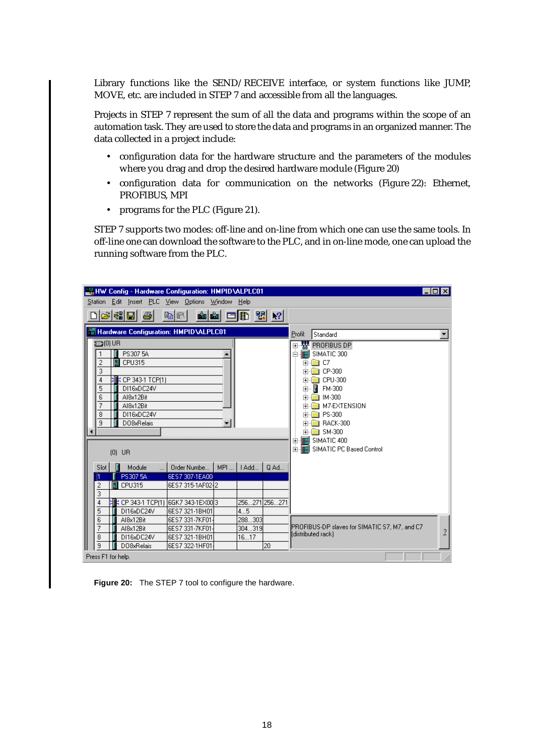Library functions like the SEND/RECEIVE interface, or system functions like JUMP, MOVE, etc. are included in STEP 7 and accessible from all the languages.

Projects in STEP 7 represent the sum of all the data and programs within the scope of an automation task. They are used to store the data and programs in an organized manner. The data collected in a project include:

- configuration data for the hardware structure and the parameters of the modules where you drag and drop the desired hardware module (Figure 20)
- configuration data for communication on the networks (Figure 22): Ethernet, PROFIBUS, MPI
- programs for the PLC (Figure 21).

STEP 7 supports two modes: off-line and on-line from which one can use the same tools. In off-line one can download the software to the PLC, and in on-line mode, one can upload the running software from the PLC.



**Figure 20:** The STEP 7 tool to configure the hardware.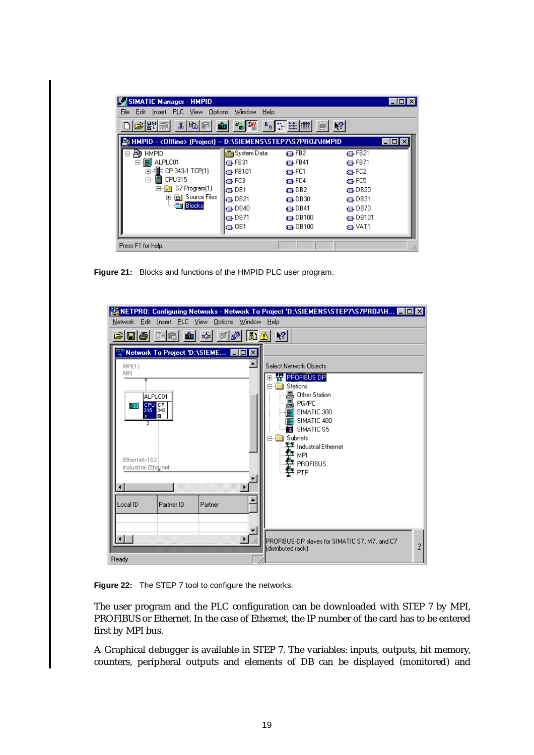| SIMATIC Manager - HMPID                                         |                   |                   |                 | $\blacksquare\square$ |
|-----------------------------------------------------------------|-------------------|-------------------|-----------------|-----------------------|
| Edit Insert PLC View Options<br>File                            | Help<br>Window    |                   |                 |                       |
| de 81#                                                          | X & B & 2 Y 2 E H |                   | $\mathbf{R}^2$  |                       |
| A HMPID - < Offline> (Project) -- D:\SIEMENS\STEP7\S7PROJ\HMPID |                   |                   |                 | - 101                 |
| <b>HMPID</b><br>ÆΒ                                              | System Data       | $\Box$ FB2        | $\Box$ FB21     |                       |
|                                                                 | $\Box$ FB31       | $\Box$ FB41       | $\Box$ FB71     |                       |
| - 增; CP 343-1 TCP[1]<br>Ė                                       | $\Box$ FB101      | a⊒ FC1            | $\bigoplus$ FC2 |                       |
| CPU315<br>Ėŀ                                                    | l⊫ FC3            | t⊟⊦FC4            | $\bigoplus$ FC5 |                       |
| S7 Program[1]<br>[—]⊹<br>37                                     | la⊐⊦DB1           | t⊟⊦DB2            | $\Box$ DB20     |                       |
| <b>B</b> Source Files<br>l∓⊡                                    | $\Box$ DB21       | $\Box$ DB30       | $\Box$ DB31     |                       |
| <b>Blocks</b>                                                   | $\Box$ DB40       | t⊒⊦DB41           | $\oplus$ DB70   |                       |
|                                                                 | $\Box$ DB71       | $\oplus$ DB100    | $\oplus$ DB101  |                       |
|                                                                 | $\Box$ OB1        | $\bigoplus$ OB100 | t⊟⊦VAT1         |                       |
|                                                                 |                   |                   |                 |                       |
| Press F1 for help.                                              |                   |                   |                 |                       |

**Figure 21:** Blocks and functions of the HMPID PLC user program.

| Network Edit Insert PLC View Options Window Help                                                                                                                                                                 | 器NETPRO: Configuring Networks - Network To Project 'D:\SIEMENS\STEP7\S7PROJ\H ■■■                                                                                                                                                                             |
|------------------------------------------------------------------------------------------------------------------------------------------------------------------------------------------------------------------|---------------------------------------------------------------------------------------------------------------------------------------------------------------------------------------------------------------------------------------------------------------|
| $\mathbb{S}$ $\boxed{\mathbb{B} \triangle}$ $\mathbb{R}$<br>$\blacksquare$ $\clubsuit$ be $\blacksquare$<br>-⊁<br>$\lvert \mathcal{A} \rvert$                                                                    |                                                                                                                                                                                                                                                               |
| <b>A</b> Network To Project 'D:\SIEME <b>HO X</b><br>▲<br>MP(1)<br>MPI<br>ALPLC01<br>CPU CP<br>315 343<br>$\cdot$ HH<br>ш<br>п.<br>2<br>Ethernet-162<br>Industrial Ethernet<br>Local ID<br>Partner ID<br>Partner | Select Network Objects<br><b>W</b> PROFIBUS DP<br>$\overline{+}$<br>Stations<br>÷.<br>Ėŀ<br>본 Other Station<br>본 PG/PC<br>SIMATIC 300<br><b>MI</b> SIMATIC 400<br><b>■ SIMATICS5</b><br>Subnets<br>FH<br>平 Industrial Ethernet<br>‡≖ мег<br>空 PROFIBUS<br>PTP |
| Ready                                                                                                                                                                                                            | PROFIBUS-DP slaves for SIMATIC S7, M7, and C7<br>$\overline{1}$<br>(distributed rack)                                                                                                                                                                         |

**Figure 22:** The STEP 7 tool to configure the networks.

The user program and the PLC configuration can be downloaded with STEP 7 by MPI, PROFIBUS or Ethernet. In the case of Ethernet, the IP number of the card has to be entered first by MPI bus.

A Graphical debugger is available in STEP 7. The variables: inputs, outputs, bit memory, counters, peripheral outputs and elements of DB can be displayed (monitored) and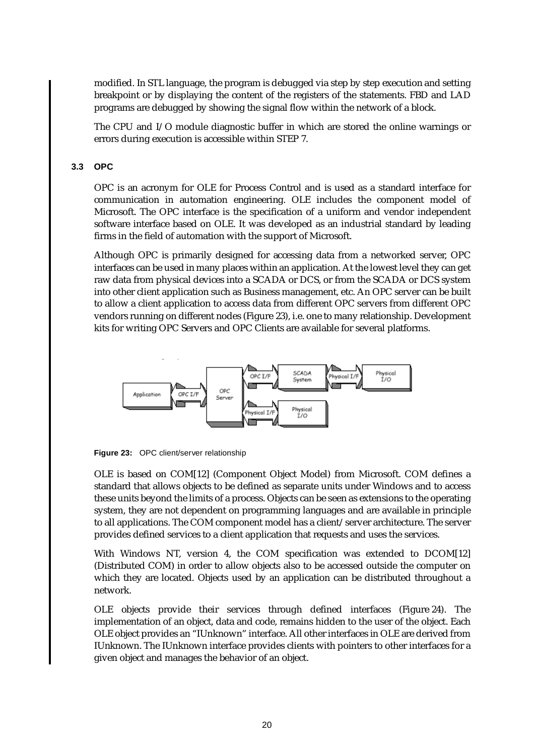modified. In STL language, the program is debugged via step by step execution and setting breakpoint or by displaying the content of the registers of the statements. FBD and LAD programs are debugged by showing the signal flow within the network of a block.

The CPU and I/O module diagnostic buffer in which are stored the online warnings or errors during execution is accessible within STEP 7.

#### **3.3 OPC**

OPC is an acronym for OLE for Process Control and is used as a standard interface for communication in automation engineering. OLE includes the component model of Microsoft. The OPC interface is the specification of a uniform and vendor independent software interface based on OLE. It was developed as an industrial standard by leading firms in the field of automation with the support of Microsoft.

Although OPC is primarily designed for accessing data from a networked server, OPC interfaces can be used in many places within an application. At the lowest level they can get raw data from physical devices into a SCADA or DCS, or from the SCADA or DCS system into other client application such as Business management, etc. An OPC server can be built to allow a client application to access data from different OPC servers from different OPC vendors running on different nodes (Figure 23), i.e. one to many relationship. Development kits for writing OPC Servers and OPC Clients are available for several platforms.



**Figure 23:** OPC client/server relationship

OLE is based on COM[12] (Component Object Model) from Microsoft. COM defines a standard that allows objects to be defined as separate units under Windows and to access these units beyond the limits of a process. Objects can be seen as extensions to the operating system, they are not dependent on programming languages and are available in principle to all applications. The COM component model has a client/server architecture. The server provides defined services to a client application that requests and uses the services.

With Windows NT, version 4, the COM specification was extended to DCOM[12] (Distributed COM) in order to allow objects also to be accessed outside the computer on which they are located. Objects used by an application can be distributed throughout a network.

OLE objects provide their services through defined interfaces (Figure 24). The implementation of an object, data and code, remains hidden to the user of the object. Each OLE object provides an "IUnknown" interface. All other interfaces in OLE are derived from IUnknown. The IUnknown interface provides clients with pointers to other interfaces for a given object and manages the behavior of an object.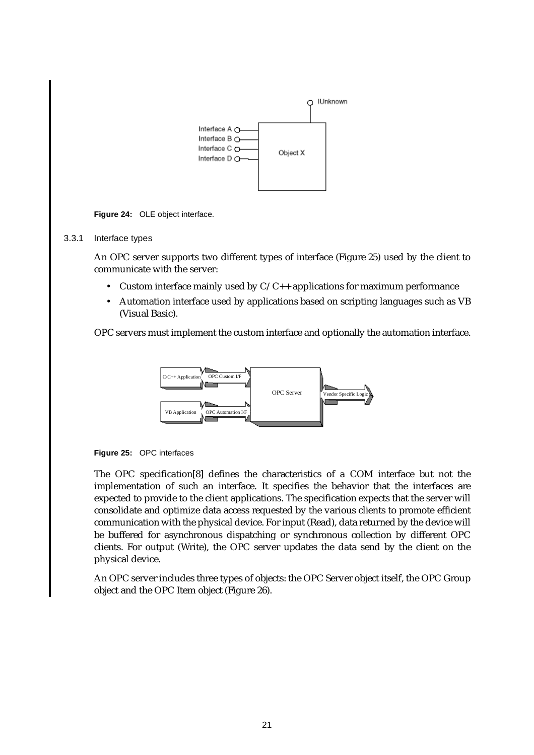

**Figure 24:** OLE object interface.

#### 3.3.1 Interface types

An OPC server supports two different types of interface (Figure 25) used by the client to communicate with the server:

- Custom interface mainly used by  $C/C++$  applications for maximum performance
- Automation interface used by applications based on scripting languages such as VB (Visual Basic).

OPC servers must implement the custom interface and optionally the automation interface.





The OPC specification[8] defines the characteristics of a COM interface but not the implementation of such an interface. It specifies the behavior that the interfaces are expected to provide to the client applications. The specification expects that the server will consolidate and optimize data access requested by the various clients to promote efficient communication with the physical device. For input (Read), data returned by the device will be buffered for asynchronous dispatching or synchronous collection by different OPC clients. For output (Write), the OPC server updates the data send by the client on the physical device.

An OPC server includes three types of objects: the OPC Server object itself, the OPC Group object and the OPC Item object (Figure 26).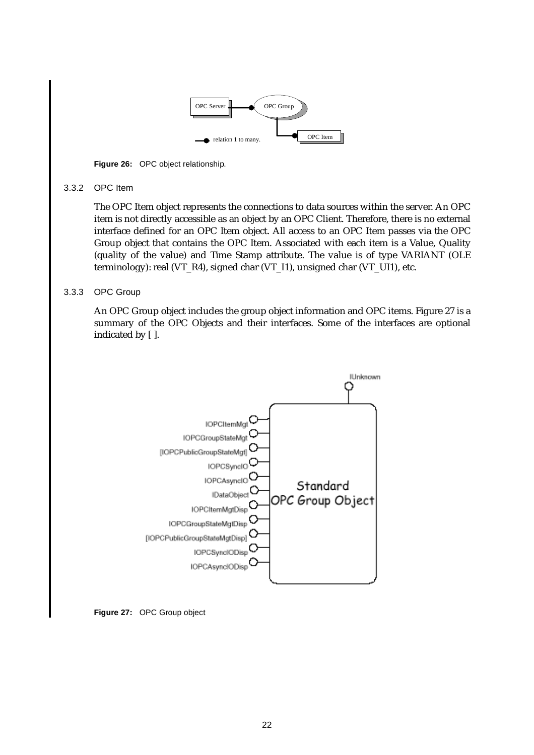

**Figure 26:** OPC object relationship.

#### 3.3.2 OPC Item

The OPC Item object represents the connections to data sources within the server. An OPC item is not directly accessible as an object by an OPC Client. Therefore, there is no external interface defined for an OPC Item object. All access to an OPC Item passes via the OPC Group object that contains the OPC Item. Associated with each item is a Value, Quality (quality of the value) and Time Stamp attribute. The value is of type VARIANT (OLE terminology): real (VT\_R4), signed char (VT\_I1), unsigned char (VT\_UI1), etc.

### 3.3.3 OPC Group

An OPC Group object includes the group object information and OPC items. Figure 27 is a summary of the OPC Objects and their interfaces. Some of the interfaces are optional indicated by [ ].



**Figure 27:** OPC Group object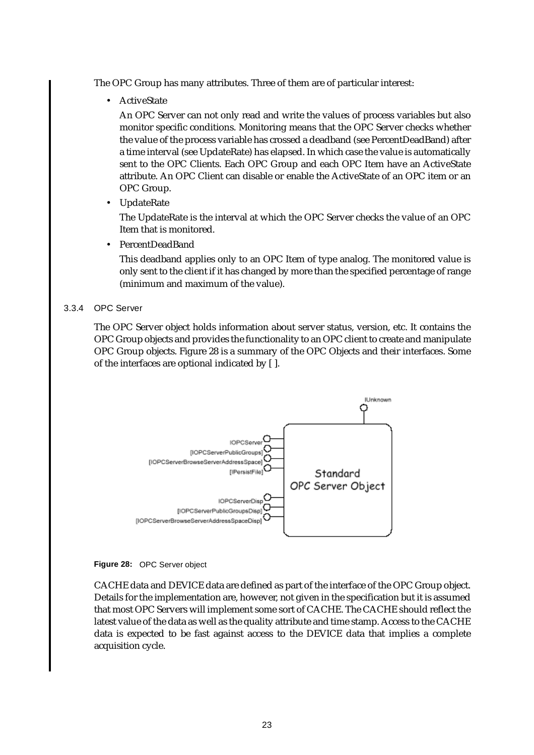The OPC Group has many attributes. Three of them are of particular interest:

• ActiveState

An OPC Server can not only read and write the values of process variables but also monitor specific conditions. Monitoring means that the OPC Server checks whether the value of the process variable has crossed a deadband (see PercentDeadBand) after a time interval (see UpdateRate) has elapsed. In which case the value is automatically sent to the OPC Clients. Each OPC Group and each OPC Item have an ActiveState attribute. An OPC Client can disable or enable the ActiveState of an OPC item or an OPC Group.

• UpdateRate

The UpdateRate is the interval at which the OPC Server checks the value of an OPC Item that is monitored.

• PercentDeadBand

This deadband applies only to an OPC Item of type analog. The monitored value is only sent to the client if it has changed by more than the specified percentage of range (minimum and maximum of the value).

3.3.4 OPC Server

The OPC Server object holds information about server status, version, etc. It contains the OPC Group objects and provides the functionality to an OPC client to create and manipulate OPC Group objects. Figure 28 is a summary of the OPC Objects and their interfaces. Some of the interfaces are optional indicated by [ ].



**Figure 28:** OPC Server object

CACHE data and DEVICE data are defined as part of the interface of the OPC Group object. Details for the implementation are, however, not given in the specification but it is assumed that most OPC Servers will implement some sort of CACHE. The CACHE should reflect the latest value of the data as well as the quality attribute and time stamp. Access to the CACHE data is expected to be fast against access to the DEVICE data that implies a complete acquisition cycle.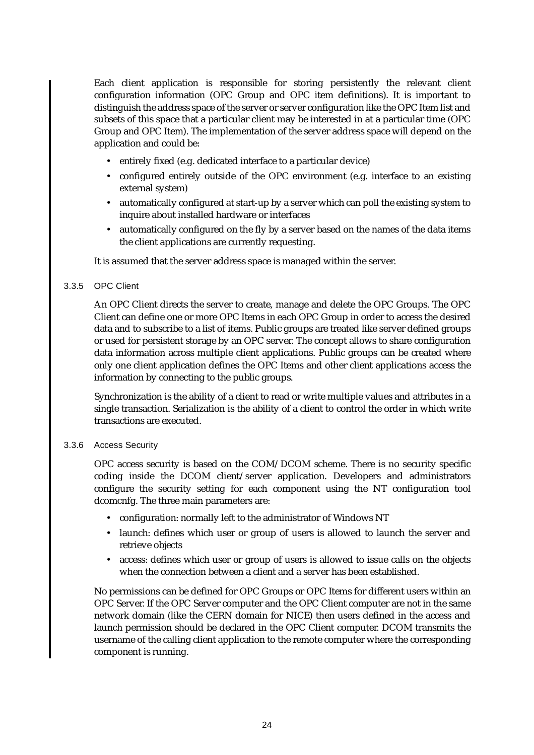Each client application is responsible for storing persistently the relevant client configuration information (OPC Group and OPC item definitions). It is important to distinguish the address space of the server or server configuration like the OPC Item list and subsets of this space that a particular client may be interested in at a particular time (OPC Group and OPC Item). The implementation of the server address space will depend on the application and could be:

- entirely fixed (e.g. dedicated interface to a particular device)
- configured entirely outside of the OPC environment (e.g. interface to an existing external system)
- automatically configured at start-up by a server which can poll the existing system to inquire about installed hardware or interfaces
- automatically configured on the fly by a server based on the names of the data items the client applications are currently requesting.

It is assumed that the server address space is managed within the server.

#### 3.3.5 OPC Client

An OPC Client directs the server to create, manage and delete the OPC Groups. The OPC Client can define one or more OPC Items in each OPC Group in order to access the desired data and to subscribe to a list of items. Public groups are treated like server defined groups or used for persistent storage by an OPC server. The concept allows to share configuration data information across multiple client applications. Public groups can be created where only one client application defines the OPC Items and other client applications access the information by connecting to the public groups.

Synchronization is the ability of a client to read or write multiple values and attributes in a single transaction. Serialization is the ability of a client to control the order in which write transactions are executed.

#### 3.3.6 Access Security

OPC access security is based on the COM/DCOM scheme. There is no security specific coding inside the DCOM client/server application. Developers and administrators configure the security setting for each component using the NT configuration tool dcomcnfg. The three main parameters are:

- configuration: normally left to the administrator of Windows NT
- launch: defines which user or group of users is allowed to launch the server and retrieve objects
- access: defines which user or group of users is allowed to issue calls on the objects when the connection between a client and a server has been established.

No permissions can be defined for OPC Groups or OPC Items for different users within an OPC Server. If the OPC Server computer and the OPC Client computer are not in the same network domain (like the CERN domain for NICE) then users defined in the access and launch permission should be declared in the OPC Client computer. DCOM transmits the username of the calling client application to the remote computer where the corresponding component is running.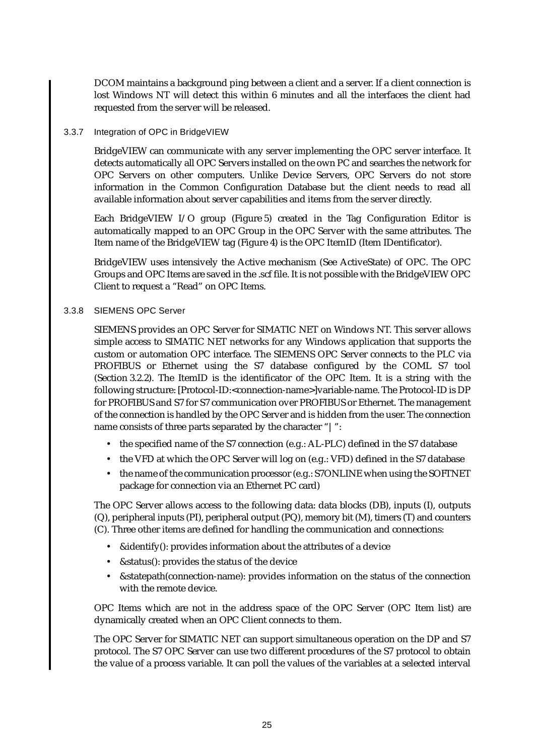DCOM maintains a background ping between a client and a server. If a client connection is lost Windows NT will detect this within 6 minutes and all the interfaces the client had requested from the server will be released.

#### 3.3.7 Integration of OPC in BridgeVIEW

BridgeVIEW can communicate with any server implementing the OPC server interface. It detects automatically all OPC Servers installed on the own PC and searches the network for OPC Servers on other computers. Unlike Device Servers, OPC Servers do not store information in the Common Configuration Database but the client needs to read all available information about server capabilities and items from the server directly.

Each BridgeVIEW I/O group (Figure 5) created in the Tag Configuration Editor is automatically mapped to an OPC Group in the OPC Server with the same attributes. The Item name of the BridgeVIEW tag (Figure 4) is the OPC ItemID (Item IDentificator).

BridgeVIEW uses intensively the Active mechanism (See ActiveState) of OPC. The OPC Groups and OPC Items are saved in the .scf file. It is not possible with the BridgeVIEW OPC Client to request a "Read" on OPC Items.

### 3.3.8 SIEMENS OPC Server

SIEMENS provides an OPC Server for SIMATIC NET on Windows NT. This server allows simple access to SIMATIC NET networks for any Windows application that supports the custom or automation OPC interface. The SIEMENS OPC Server connects to the PLC via PROFIBUS or Ethernet using the S7 database configured by the COML S7 tool (Section 3.2.2). The ItemID is the identificator of the OPC Item. It is a string with the following structure: [Protocol-ID:<connection-name>]variable-name. The Protocol-ID is DP for PROFIBUS and S7 for S7 communication over PROFIBUS or Ethernet. The management of the connection is handled by the OPC Server and is hidden from the user. The connection name consists of three parts separated by the character "|":

- the specified name of the S7 connection (e.g.: AL-PLC) defined in the S7 database
- the VFD at which the OPC Server will log on (e.g.: VFD) defined in the S7 database
- the name of the communication processor (e.g.: S7ONLINE when using the SOFTNET package for connection via an Ethernet PC card)

The OPC Server allows access to the following data: data blocks (DB), inputs (I), outputs (Q), peripheral inputs (PI), peripheral output (PQ), memory bit (M), timers (T) and counters (C). Three other items are defined for handling the communication and connections:

- &identify(): provides information about the attributes of a device
- &status(): provides the status of the device
- &statepath(connection-name): provides information on the status of the connection with the remote device.

OPC Items which are not in the address space of the OPC Server (OPC Item list) are dynamically created when an OPC Client connects to them.

The OPC Server for SIMATIC NET can support simultaneous operation on the DP and S7 protocol. The S7 OPC Server can use two different procedures of the S7 protocol to obtain the value of a process variable. It can poll the values of the variables at a selected interval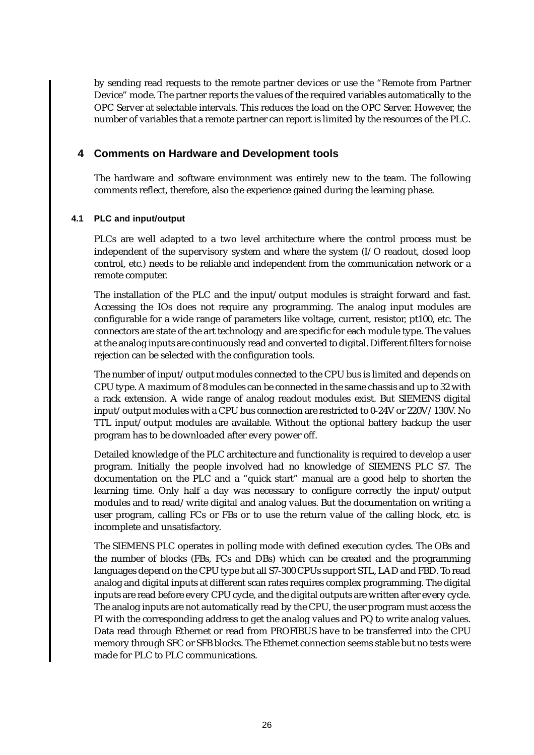by sending read requests to the remote partner devices or use the "Remote from Partner Device" mode. The partner reports the values of the required variables automatically to the OPC Server at selectable intervals. This reduces the load on the OPC Server. However, the number of variables that a remote partner can report is limited by the resources of the PLC.

# **4 Comments on Hardware and Development tools**

The hardware and software environment was entirely new to the team. The following comments reflect, therefore, also the experience gained during the learning phase.

### **4.1 PLC and input/output**

PLCs are well adapted to a two level architecture where the control process must be independent of the supervisory system and where the system (I/O readout, closed loop control, etc.) needs to be reliable and independent from the communication network or a remote computer.

The installation of the PLC and the input/output modules is straight forward and fast. Accessing the IOs does not require any programming. The analog input modules are configurable for a wide range of parameters like voltage, current, resistor, pt100, etc. The connectors are state of the art technology and are specific for each module type. The values at the analog inputs are continuously read and converted to digital. Different filters for noise rejection can be selected with the configuration tools.

The number of input/output modules connected to the CPU bus is limited and depends on CPU type. A maximum of 8 modules can be connected in the same chassis and up to 32 with a rack extension. A wide range of analog readout modules exist. But SIEMENS digital input/output modules with a CPU bus connection are restricted to 0-24V or 220V/130V. No TTL input/output modules are available. Without the optional battery backup the user program has to be downloaded after every power off.

Detailed knowledge of the PLC architecture and functionality is required to develop a user program. Initially the people involved had no knowledge of SIEMENS PLC S7. The documentation on the PLC and a "quick start" manual are a good help to shorten the learning time. Only half a day was necessary to configure correctly the input/output modules and to read/write digital and analog values. But the documentation on writing a user program, calling FCs or FBs or to use the return value of the calling block, etc. is incomplete and unsatisfactory.

The SIEMENS PLC operates in polling mode with defined execution cycles. The OBs and the number of blocks (FBs, FCs and DBs) which can be created and the programming languages depend on the CPU type but all S7-300 CPUs support STL, LAD and FBD. To read analog and digital inputs at different scan rates requires complex programming. The digital inputs are read before every CPU cycle, and the digital outputs are written after every cycle. The analog inputs are not automatically read by the CPU, the user program must access the PI with the corresponding address to get the analog values and PQ to write analog values. Data read through Ethernet or read from PROFIBUS have to be transferred into the CPU memory through SFC or SFB blocks. The Ethernet connection seems stable but no tests were made for PLC to PLC communications.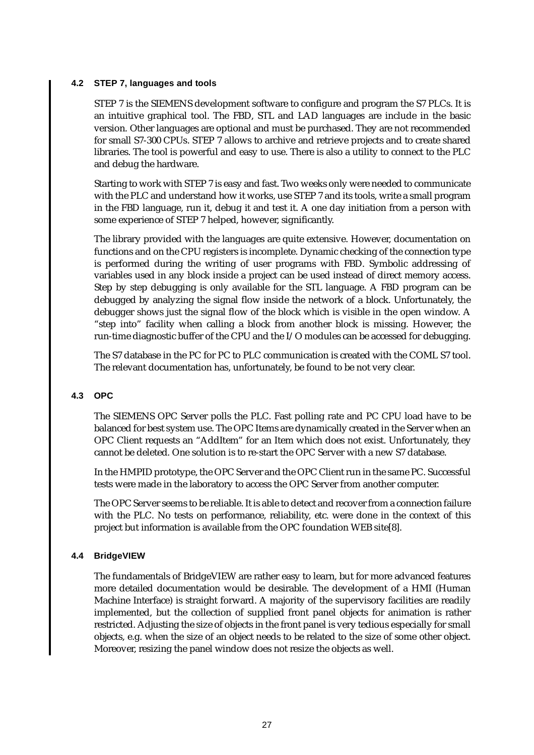#### **4.2 STEP 7, languages and tools**

STEP 7 is the SIEMENS development software to configure and program the S7 PLCs. It is an intuitive graphical tool. The FBD, STL and LAD languages are include in the basic version. Other languages are optional and must be purchased. They are not recommended for small S7-300 CPUs. STEP 7 allows to archive and retrieve projects and to create shared libraries. The tool is powerful and easy to use. There is also a utility to connect to the PLC and debug the hardware.

Starting to work with STEP 7 is easy and fast. Two weeks only were needed to communicate with the PLC and understand how it works, use STEP 7 and its tools, write a small program in the FBD language, run it, debug it and test it. A one day initiation from a person with some experience of STEP 7 helped, however, significantly.

The library provided with the languages are quite extensive. However, documentation on functions and on the CPU registers is incomplete. Dynamic checking of the connection type is performed during the writing of user programs with FBD. Symbolic addressing of variables used in any block inside a project can be used instead of direct memory access. Step by step debugging is only available for the STL language. A FBD program can be debugged by analyzing the signal flow inside the network of a block. Unfortunately, the debugger shows just the signal flow of the block which is visible in the open window. A "step into" facility when calling a block from another block is missing. However, the run-time diagnostic buffer of the CPU and the I/O modules can be accessed for debugging.

The S7 database in the PC for PC to PLC communication is created with the COML S7 tool. The relevant documentation has, unfortunately, be found to be not very clear.

#### **4.3 OPC**

The SIEMENS OPC Server polls the PLC. Fast polling rate and PC CPU load have to be balanced for best system use. The OPC Items are dynamically created in the Server when an OPC Client requests an "AddItem" for an Item which does not exist. Unfortunately, they cannot be deleted. One solution is to re-start the OPC Server with a new S7 database.

In the HMPID prototype, the OPC Server and the OPC Client run in the same PC. Successful tests were made in the laboratory to access the OPC Server from another computer.

The OPC Server seems to be reliable. It is able to detect and recover from a connection failure with the PLC. No tests on performance, reliability, etc. were done in the context of this project but information is available from the OPC foundation WEB site[8].

#### **4.4 BridgeVIEW**

The fundamentals of BridgeVIEW are rather easy to learn, but for more advanced features more detailed documentation would be desirable. The development of a HMI (Human Machine Interface) is straight forward. A majority of the supervisory facilities are readily implemented, but the collection of supplied front panel objects for animation is rather restricted. Adjusting the size of objects in the front panel is very tedious especially for small objects, e.g. when the size of an object needs to be related to the size of some other object. Moreover, resizing the panel window does not resize the objects as well.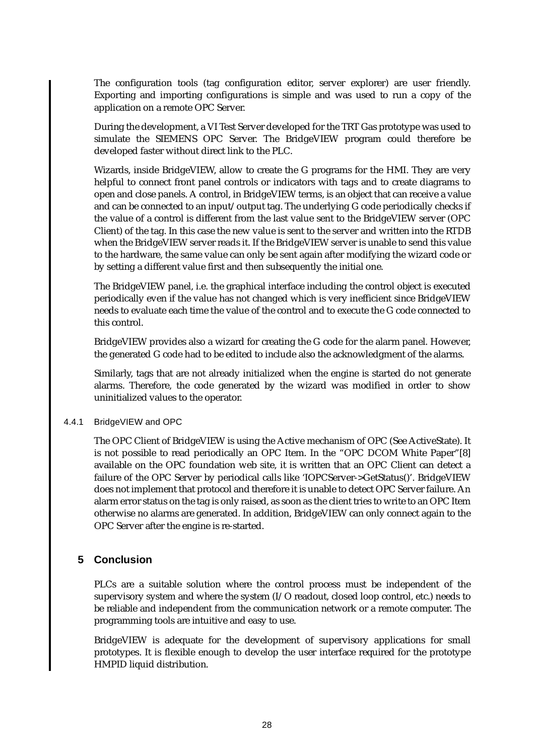The configuration tools (tag configuration editor, server explorer) are user friendly. Exporting and importing configurations is simple and was used to run a copy of the application on a remote OPC Server.

During the development, a VI Test Server developed for the TRT Gas prototype was used to simulate the SIEMENS OPC Server. The BridgeVIEW program could therefore be developed faster without direct link to the PLC.

Wizards, inside BridgeVIEW, allow to create the G programs for the HMI. They are very helpful to connect front panel controls or indicators with tags and to create diagrams to open and close panels. A control, in BridgeVIEW terms, is an object that can receive a value and can be connected to an input/output tag. The underlying G code periodically checks if the value of a control is different from the last value sent to the BridgeVIEW server (OPC Client) of the tag. In this case the new value is sent to the server and written into the RTDB when the BridgeVIEW server reads it. If the BridgeVIEW server is unable to send this value to the hardware, the same value can only be sent again after modifying the wizard code or by setting a different value first and then subsequently the initial one.

The BridgeVIEW panel, i.e. the graphical interface including the control object is executed periodically even if the value has not changed which is very inefficient since BridgeVIEW needs to evaluate each time the value of the control and to execute the G code connected to this control.

BridgeVIEW provides also a wizard for creating the G code for the alarm panel. However, the generated G code had to be edited to include also the acknowledgment of the alarms.

Similarly, tags that are not already initialized when the engine is started do not generate alarms. Therefore, the code generated by the wizard was modified in order to show uninitialized values to the operator.

#### 4.4.1 BridgeVIEW and OPC

The OPC Client of BridgeVIEW is using the Active mechanism of OPC (See ActiveState). It is not possible to read periodically an OPC Item. In the "OPC DCOM White Paper"[8] available on the OPC foundation web site, it is written that an OPC Client can detect a failure of the OPC Server by periodical calls like 'IOPCServer->GetStatus()'. BridgeVIEW does not implement that protocol and therefore it is unable to detect OPC Server failure. An alarm error status on the tag is only raised, as soon as the client tries to write to an OPC Item otherwise no alarms are generated. In addition, BridgeVIEW can only connect again to the OPC Server after the engine is re-started.

## **5 Conclusion**

PLCs are a suitable solution where the control process must be independent of the supervisory system and where the system (I/O readout, closed loop control, etc.) needs to be reliable and independent from the communication network or a remote computer. The programming tools are intuitive and easy to use.

BridgeVIEW is adequate for the development of supervisory applications for small prototypes. It is flexible enough to develop the user interface required for the prototype HMPID liquid distribution.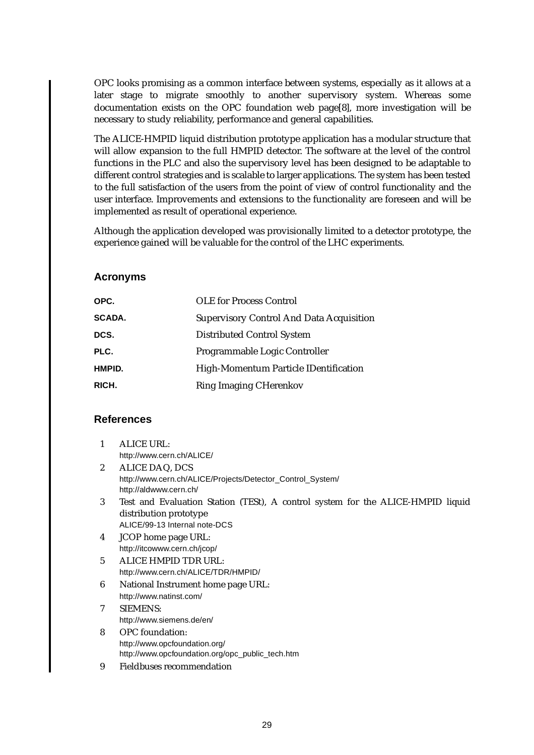OPC looks promising as a common interface between systems, especially as it allows at a later stage to migrate smoothly to another supervisory system. Whereas some documentation exists on the OPC foundation web page[8], more investigation will be necessary to study reliability, performance and general capabilities.

The ALICE-HMPID liquid distribution prototype application has a modular structure that will allow expansion to the full HMPID detector. The software at the level of the control functions in the PLC and also the supervisory level has been designed to be adaptable to different control strategies and is scalable to larger applications. The system has been tested to the full satisfaction of the users from the point of view of control functionality and the user interface. Improvements and extensions to the functionality are foreseen and will be implemented as result of operational experience.

Although the application developed was provisionally limited to a detector prototype, the experience gained will be valuable for the control of the LHC experiments.

### **Acronyms**

| OPC.          | <b>OLE</b> for Process Control                  |
|---------------|-------------------------------------------------|
| <b>SCADA.</b> | <b>Supervisory Control And Data Acquisition</b> |
| DCS.          | Distributed Control System                      |
| PLC.          | Programmable Logic Controller                   |
| HMPID.        | High-Momentum Particle IDentification           |
| RICH.         | <b>Ring Imaging CHerenkov</b>                   |

# **References**

| 1              | <b>ALICE URL:</b>                                                               |
|----------------|---------------------------------------------------------------------------------|
|                | http://www.cern.ch/ALICE/                                                       |
| $\overline{c}$ | ALICE DAQ, DCS                                                                  |
|                | http://www.cern.ch/ALICE/Projects/Detector_Control_System/                      |
|                | http://aldwww.cern.ch/                                                          |
| 3              | Test and Evaluation Station (TESt), A control system for the ALICE-HMPID liquid |
|                | distribution prototype                                                          |
|                | ALICE/99-13 Internal note-DCS                                                   |
| 4              | <b>JCOP</b> home page URL:                                                      |
|                | http://itcowww.cern.ch/jcop/                                                    |
| 5              | ALICE HMPID TDR URL:                                                            |
|                | http://www.cern.ch/ALICE/TDR/HMPID/                                             |
| 6              | National Instrument home page URL:                                              |
|                | http://www.natinst.com/                                                         |
| 7              | <b>SIEMENS:</b>                                                                 |
|                | http://www.siemens.de/en/                                                       |
| 8              | <b>OPC</b> foundation:                                                          |
|                | http://www.opcfoundation.org/                                                   |
|                | http://www.opcfoundation.org/opc_public_tech.htm                                |
| 9              | <b>Fieldbuses recommendation</b>                                                |
|                |                                                                                 |